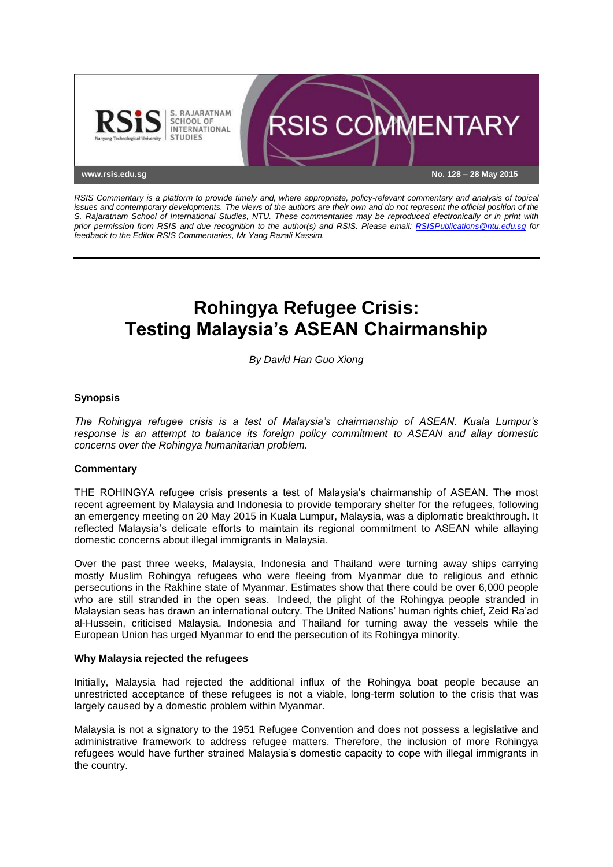

*RSIS Commentary is a platform to provide timely and, where appropriate, policy-relevant commentary and analysis of topical issues and contemporary developments. The views of the authors are their own and do not represent the official position of the S. Rajaratnam School of International Studies, NTU. These commentaries may be reproduced electronically or in print with prior permission from RSIS and due recognition to the author(s) and RSIS. Please email: [RSISPublications@ntu.edu.sg](mailto:RSISPublications@ntu.edu.sg) for feedback to the Editor RSIS Commentaries, Mr Yang Razali Kassim.*

# **Rohingya Refugee Crisis: Testing Malaysia's ASEAN Chairmanship**

*By David Han Guo Xiong*

## **Synopsis**

*The Rohingya refugee crisis is a test of Malaysia's chairmanship of ASEAN. Kuala Lumpur's response is an attempt to balance its foreign policy commitment to ASEAN and allay domestic concerns over the Rohingya humanitarian problem.*

### **Commentary**

THE ROHINGYA refugee crisis presents a test of Malaysia's chairmanship of ASEAN. The most recent agreement by Malaysia and Indonesia to provide temporary shelter for the refugees, following an emergency meeting on 20 May 2015 in Kuala Lumpur, Malaysia, was a diplomatic breakthrough. It reflected Malaysia's delicate efforts to maintain its regional commitment to ASEAN while allaying domestic concerns about illegal immigrants in Malaysia.

Over the past three weeks, Malaysia, Indonesia and Thailand were turning away ships carrying mostly Muslim Rohingya refugees who were fleeing from Myanmar due to religious and ethnic persecutions in the Rakhine state of Myanmar. Estimates show that there could be over 6,000 people who are still stranded in the open seas. Indeed, the plight of the Rohingya people stranded in Malaysian seas has drawn an international outcry. The United Nations' human rights chief, Zeid Ra'ad al-Hussein, criticised Malaysia, Indonesia and Thailand for turning away the vessels while the European Union has urged Myanmar to end the persecution of its Rohingya minority.

### **Why Malaysia rejected the refugees**

Initially, Malaysia had rejected the additional influx of the Rohingya boat people because an unrestricted acceptance of these refugees is not a viable, long-term solution to the crisis that was largely caused by a domestic problem within Myanmar.

Malaysia is not a signatory to the 1951 Refugee Convention and does not possess a legislative and administrative framework to address refugee matters. Therefore, the inclusion of more Rohingya refugees would have further strained Malaysia's domestic capacity to cope with illegal immigrants in the country.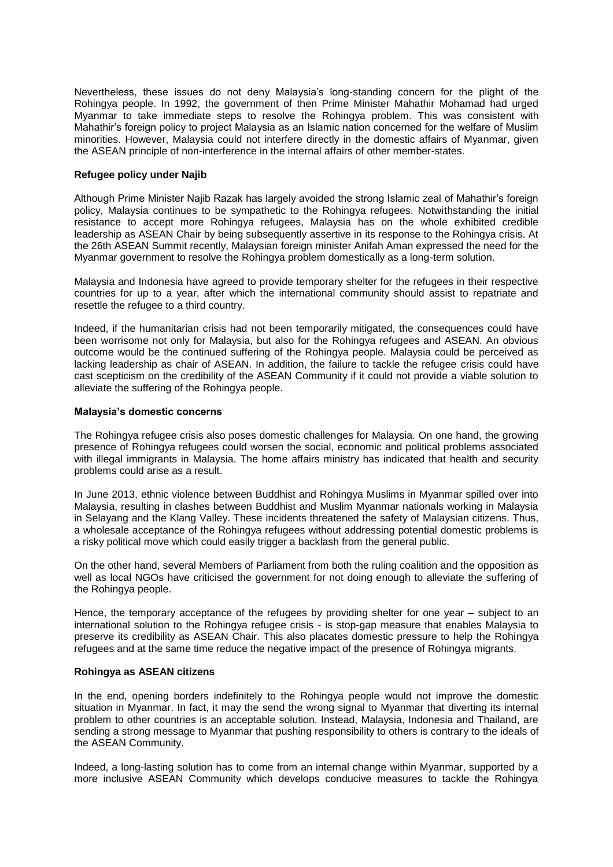Nevertheless, these issues do not deny Malaysia's long-standing concern for the plight of the Rohingya people. In 1992, the government of then Prime Minister Mahathir Mohamad had urged Myanmar to take immediate steps to resolve the Rohingya problem. This was consistent with Mahathir's foreign policy to project Malaysia as an Islamic nation concerned for the welfare of Muslim minorities. However, Malaysia could not interfere directly in the domestic affairs of Myanmar, given the ASEAN principle of non-interference in the internal affairs of other member-states.

### **Refugee policy under Najib**

Although Prime Minister Najib Razak has largely avoided the strong Islamic zeal of Mahathir's foreign policy, Malaysia continues to be sympathetic to the Rohingya refugees. Notwithstanding the initial resistance to accept more Rohingya refugees, Malaysia has on the whole exhibited credible leadership as ASEAN Chair by being subsequently assertive in its response to the Rohingya crisis. At the 26th ASEAN Summit recently, Malaysian foreign minister Anifah Aman expressed the need for the Myanmar government to resolve the Rohingya problem domestically as a long-term solution.

Malaysia and Indonesia have agreed to provide temporary shelter for the refugees in their respective countries for up to a year, after which the international community should assist to repatriate and resettle the refugee to a third country.

Indeed, if the humanitarian crisis had not been temporarily mitigated, the consequences could have been worrisome not only for Malaysia, but also for the Rohingya refugees and ASEAN. An obvious outcome would be the continued suffering of the Rohingya people. Malaysia could be perceived as lacking leadership as chair of ASEAN. In addition, the failure to tackle the refugee crisis could have cast scepticism on the credibility of the ASEAN Community if it could not provide a viable solution to alleviate the suffering of the Rohingya people.

### **Malaysia's domestic concerns**

The Rohingya refugee crisis also poses domestic challenges for Malaysia. On one hand, the growing presence of Rohingya refugees could worsen the social, economic and political problems associated with illegal immigrants in Malaysia. The home affairs ministry has indicated that health and security problems could arise as a result.

In June 2013, ethnic violence between Buddhist and Rohingya Muslims in Myanmar spilled over into Malaysia, resulting in clashes between Buddhist and Muslim Myanmar nationals working in Malaysia in Selayang and the Klang Valley. These incidents threatened the safety of Malaysian citizens. Thus, a wholesale acceptance of the Rohingya refugees without addressing potential domestic problems is a risky political move which could easily trigger a backlash from the general public.

On the other hand, several Members of Parliament from both the ruling coalition and the opposition as well as local NGOs have criticised the government for not doing enough to alleviate the suffering of the Rohingya people.

Hence, the temporary acceptance of the refugees by providing shelter for one year – subject to an international solution to the Rohingya refugee crisis - is stop-gap measure that enables Malaysia to preserve its credibility as ASEAN Chair. This also placates domestic pressure to help the Rohingya refugees and at the same time reduce the negative impact of the presence of Rohingya migrants.

### **Rohingya as ASEAN citizens**

In the end, opening borders indefinitely to the Rohingya people would not improve the domestic situation in Myanmar. In fact, it may the send the wrong signal to Myanmar that diverting its internal problem to other countries is an acceptable solution. Instead, Malaysia, Indonesia and Thailand, are sending a strong message to Myanmar that pushing responsibility to others is contrary to the ideals of the ASEAN Community.

Indeed, a long-lasting solution has to come from an internal change within Myanmar, supported by a more inclusive ASEAN Community which develops conducive measures to tackle the Rohingya